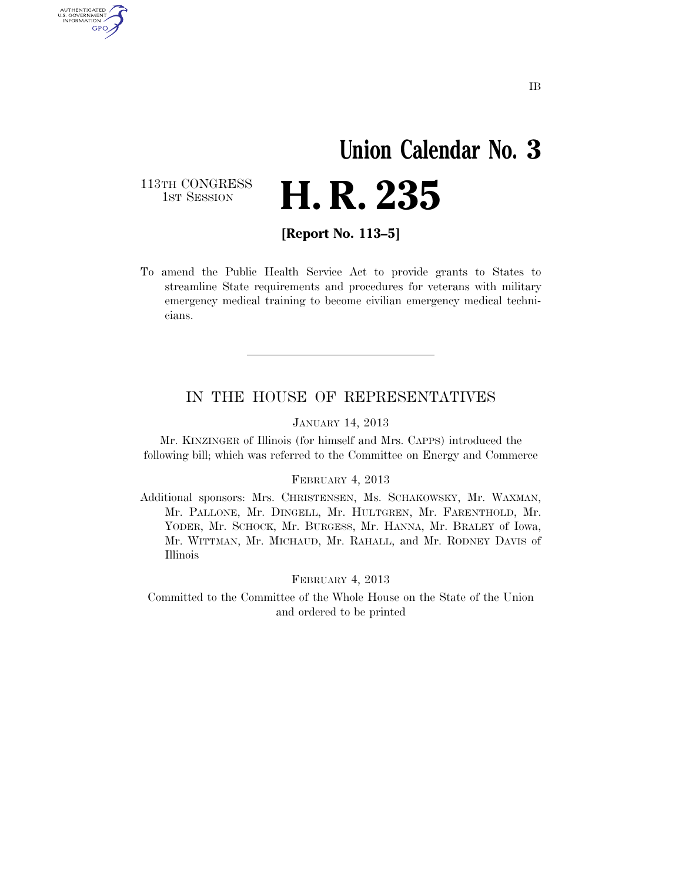# **Union Calendar No. 3**  H. R. 235

113TH CONGRESS<br>1st Session

AUTHENTICATED<br>U.S. GOVERNMENT<br>INFORMATION GPO

**[Report No. 113–5]** 

To amend the Public Health Service Act to provide grants to States to streamline State requirements and procedures for veterans with military emergency medical training to become civilian emergency medical technicians.

#### IN THE HOUSE OF REPRESENTATIVES

JANUARY 14, 2013

Mr. KINZINGER of Illinois (for himself and Mrs. CAPPS) introduced the following bill; which was referred to the Committee on Energy and Commerce

#### FEBRUARY 4, 2013

Additional sponsors: Mrs. CHRISTENSEN, Ms. SCHAKOWSKY, Mr. WAXMAN, Mr. PALLONE, Mr. DINGELL, Mr. HULTGREN, Mr. FARENTHOLD, Mr. YODER, Mr. SCHOCK, Mr. BURGESS, Mr. HANNA, Mr. BRALEY of Iowa, Mr. WITTMAN, Mr. MICHAUD, Mr. RAHALL, and Mr. RODNEY DAVIS of Illinois

FEBRUARY 4, 2013

Committed to the Committee of the Whole House on the State of the Union and ordered to be printed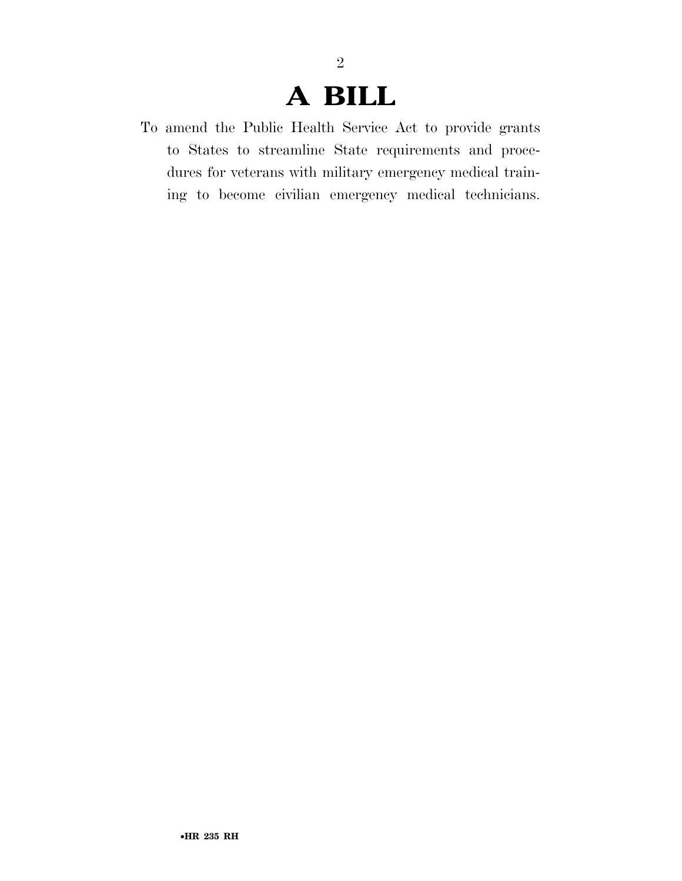### **A BILL**

To amend the Public Health Service Act to provide grants to States to streamline State requirements and procedures for veterans with military emergency medical training to become civilian emergency medical technicians.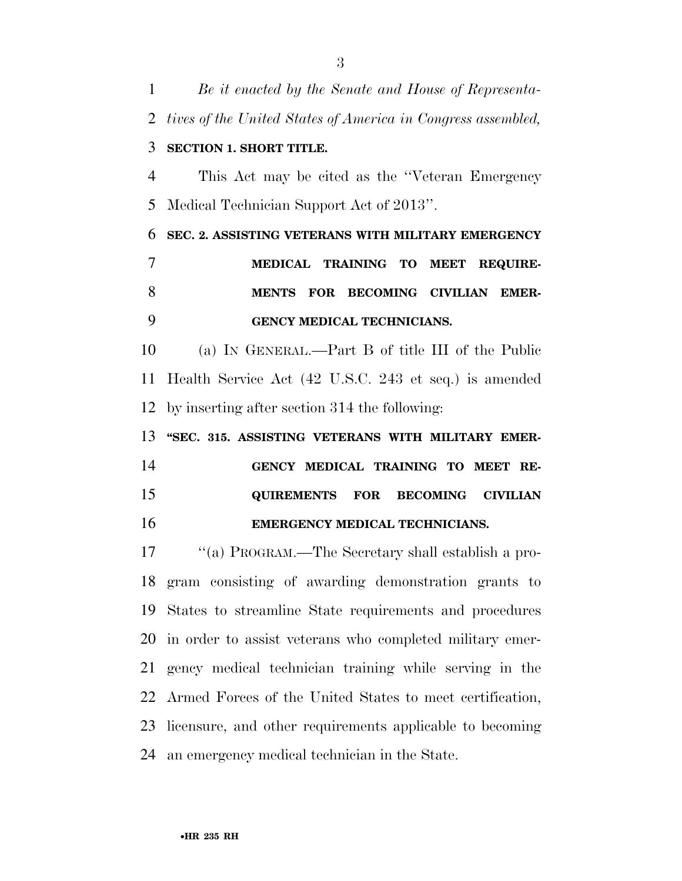*Be it enacted by the Senate and House of Representa- tives of the United States of America in Congress assembled,*  **SECTION 1. SHORT TITLE.**  This Act may be cited as the ''Veteran Emergency Medical Technician Support Act of 2013''. **SEC. 2. ASSISTING VETERANS WITH MILITARY EMERGENCY MEDICAL TRAINING TO MEET REQUIRE- MENTS FOR BECOMING CIVILIAN EMER- GENCY MEDICAL TECHNICIANS.**  (a) IN GENERAL.—Part B of title III of the Public Health Service Act (42 U.S.C. 243 et seq.) is amended by inserting after section 314 the following: **''SEC. 315. ASSISTING VETERANS WITH MILITARY EMER- GENCY MEDICAL TRAINING TO MEET RE- QUIREMENTS FOR BECOMING CIVILIAN EMERGENCY MEDICAL TECHNICIANS.**  ''(a) PROGRAM.—The Secretary shall establish a pro- gram consisting of awarding demonstration grants to States to streamline State requirements and procedures in order to assist veterans who completed military emer- gency medical technician training while serving in the Armed Forces of the United States to meet certification, licensure, and other requirements applicable to becoming an emergency medical technician in the State.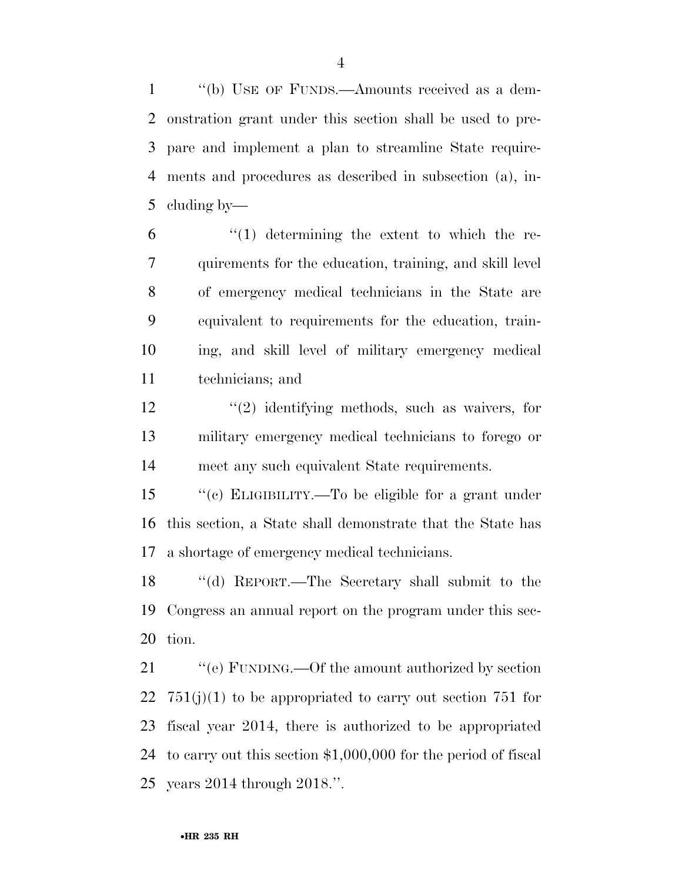''(b) USE OF FUNDS.—Amounts received as a dem- onstration grant under this section shall be used to pre- pare and implement a plan to streamline State require- ments and procedures as described in subsection (a), in-cluding by—

 $(1)$  determining the extent to which the re- quirements for the education, training, and skill level of emergency medical technicians in the State are equivalent to requirements for the education, train- ing, and skill level of military emergency medical technicians; and

12 ''(2) identifying methods, such as waivers, for military emergency medical technicians to forego or meet any such equivalent State requirements.

 ''(c) ELIGIBILITY.—To be eligible for a grant under this section, a State shall demonstrate that the State has a shortage of emergency medical technicians.

 ''(d) REPORT.—The Secretary shall submit to the Congress an annual report on the program under this sec-tion.

21 "'(e) FUNDING.—Of the amount authorized by section  $751(j)(1)$  to be appropriated to carry out section 751 for fiscal year 2014, there is authorized to be appropriated to carry out this section \$1,000,000 for the period of fiscal years 2014 through 2018.''.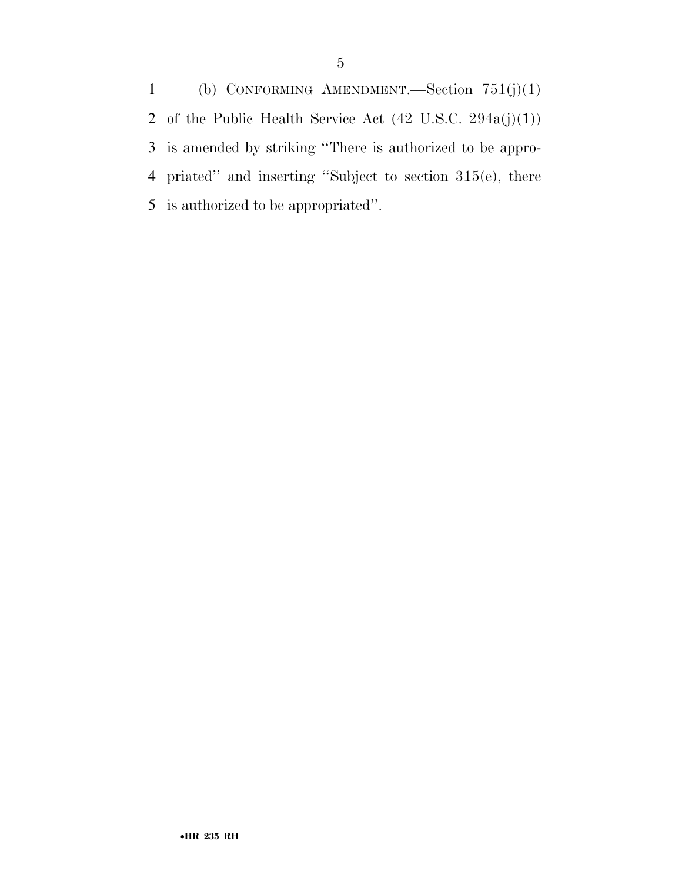(b) CONFORMING AMENDMENT.—Section 751(j)(1) 2 of the Public Health Service Act  $(42 \text{ U.S.C. } 294a(j)(1))$  is amended by striking ''There is authorized to be appro- priated'' and inserting ''Subject to section 315(e), there is authorized to be appropriated''.